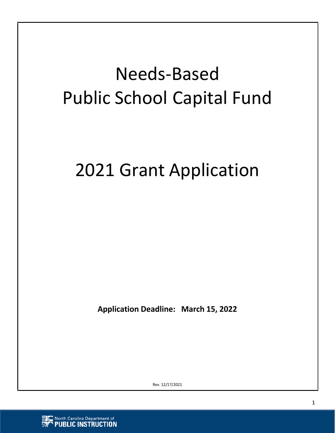# Needs‐Based Public School Capital Fund

# 2021 Grant Application

**Application Deadline: March 15, 2022** 

Rev. 12/17/2021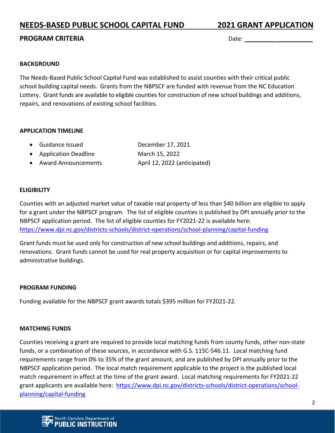**PROGRAM CRITERIA**  *PROGRAM CRITERIA* 

#### **BACKGROUND**

The Needs‐Based Public School Capital Fund was established to assist counties with their critical public school building capital needs. Grants from the NBPSCF are funded with revenue from the NC Education Lottery. Grant funds are available to eligible counties for construction of new school buildings and additions, repairs, and renovations of existing school facilities.

#### **APPLICATION TIMELINE**

- Guidance Issued December 17, 2021
- Application Deadline March 15, 2022
- Award Announcements  **April 12, 2022** (anticipated)

#### **ELIGIBILITY**

Counties with an adjusted market value of taxable real property of less than \$40 billion are eligible to apply for a grant under the NBPSCF program. The list of eligible counties is published by DPI annually prior to the NBPSCF application period. The list of eligible counties for FY2021‐22 is available here: https://www.dpi.nc.gov/districts‐schools/district‐operations/school‐planning/capital‐funding

Grant funds must be used only for construction of new school buildings and additions, repairs, and renovations. Grant funds cannot be used for real property acquisition or for capital improvements to administrative buildings.

#### **PROGRAM FUNDING**

Funding available for the NBPSCF grant awards totals \$395 million for FY2021‐22.

#### **MATCHING FUNDS**

Counties receiving a grant are required to provide local matching funds from county funds, other non‐state funds, or a combination of these sources, in accordance with G.S. 115C‐546.11. Local matching fund requirements range from 0% to 35% of the grant amount, and are published by DPI annually prior to the NBPSCF application period. The local match requirement applicable to the project is the published local match requirement in effect at the time of the grant award. Local matching requirements for FY2021‐22 grant applicants are available here: https://www.dpi.nc.gov/districts‐schools/district‐operations/school‐ planning/capital‐funding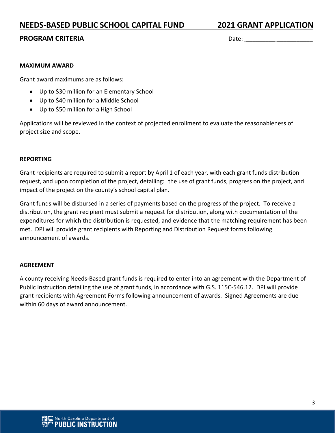#### **PROGRAM CRITERIA Date: Date: Date: Date: Date: Date: Date: Date: Date: Date: Date: Date: Date: Date: Date: Date: Date: Date: Date: Date: Date: Date: Date: Date: Date: Da**

#### **MAXIMUM AWARD**

Grant award maximums are as follows:

- Up to \$30 million for an Elementary School
- Up to \$40 million for a Middle School
- Up to \$50 million for a High School

Applications will be reviewed in the context of projected enrollment to evaluate the reasonableness of project size and scope.

#### **REPORTING**

Grant recipients are required to submit a report by April 1 of each year, with each grant funds distribution request, and upon completion of the project, detailing: the use of grant funds, progress on the project, and impact of the project on the county's school capital plan.

Grant funds will be disbursed in a series of payments based on the progress of the project. To receive a distribution, the grant recipient must submit a request for distribution, along with documentation of the expenditures for which the distribution is requested, and evidence that the matching requirement has been met. DPI will provide grant recipients with Reporting and Distribution Request forms following announcement of awards.

#### **AGREEMENT**

A county receiving Needs‐Based grant funds is required to enter into an agreement with the Department of Public Instruction detailing the use of grant funds, in accordance with G.S. 115C‐546.12. DPI will provide grant recipients with Agreement Forms following announcement of awards. Signed Agreements are due within 60 days of award announcement.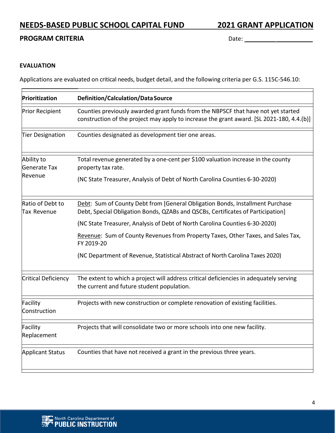#### **PROGRAM CRITERIA**  Date: \_\_\_\_\_\_\_\_\_ \_\_\_\_\_\_\_\_\_\_\_

#### **EVALUATION**

Applications are evaluated on critical needs, budget detail, and the following criteria per G.S. 115C‐546.10:

| Prioritization                        | Definition/Calculation/Data Source                                                                                                                                             |
|---------------------------------------|--------------------------------------------------------------------------------------------------------------------------------------------------------------------------------|
| Prior Recipient                       | Counties previously awarded grant funds from the NBPSCF that have not yet started<br>construction of the project may apply to increase the grant award. [SL 2021-180, 4.4.(b)] |
| Tier Designation                      | Counties designated as development tier one areas.                                                                                                                             |
| Ability to<br>Generate Tax<br>Revenue | Total revenue generated by a one-cent per \$100 valuation increase in the county<br>property tax rate.                                                                         |
|                                       | (NC State Treasurer, Analysis of Debt of North Carolina Counties 6-30-2020)                                                                                                    |
| Ratio of Debt to<br>Tax Revenue       | Debt: Sum of County Debt from [General Obligation Bonds, Installment Purchase<br>Debt, Special Obligation Bonds, QZABs and QSCBs, Certificates of Participation]               |
|                                       | (NC State Treasurer, Analysis of Debt of North Carolina Counties 6-30-2020)                                                                                                    |
|                                       | Revenue: Sum of County Revenues from Property Taxes, Other Taxes, and Sales Tax,<br>FY 2019-20                                                                                 |
|                                       | (NC Department of Revenue, Statistical Abstract of North Carolina Taxes 2020)                                                                                                  |
| Critical Deficiency                   | The extent to which a project will address critical deficiencies in adequately serving<br>the current and future student population.                                           |
| Facility<br>Construction              | Projects with new construction or complete renovation of existing facilities.                                                                                                  |
| Facility<br>Replacement               | Projects that will consolidate two or more schools into one new facility.                                                                                                      |
| <b>Applicant Status</b>               | Counties that have not received a grant in the previous three years.                                                                                                           |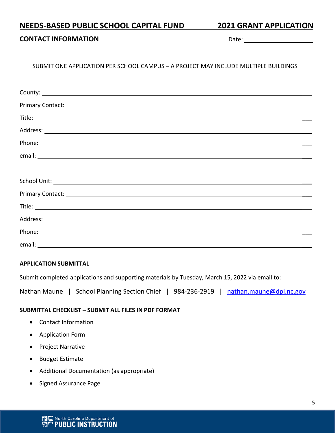#### **CONTACT INFORMATION** Date: \_\_\_\_\_\_\_\_\_ \_\_\_\_\_\_\_\_\_\_\_

#### SUBMIT ONE APPLICATION PER SCHOOL CAMPUS – A PROJECT MAY INCLUDE MULTIPLE BUILDINGS

| Phone: National Contract of the Contract of the Contract of the Contract of the Contract of the Contract of the Contract of the Contract of the Contract of the Contract of the Contract of the Contract of the Contract of th |
|--------------------------------------------------------------------------------------------------------------------------------------------------------------------------------------------------------------------------------|
|                                                                                                                                                                                                                                |
|                                                                                                                                                                                                                                |
|                                                                                                                                                                                                                                |
|                                                                                                                                                                                                                                |
|                                                                                                                                                                                                                                |
|                                                                                                                                                                                                                                |
| Phone: National Communication of the Communication of the Communication of the Communication of the Communication of the Communication of the Communication of the Communication of the Communication of the Communication of  |
|                                                                                                                                                                                                                                |

#### **APPLICATION SUBMITTAL**

Submit completed applications and supporting materials by Tuesday, March 15, 2022 via email to:

Nathan Maune | School Planning Section Chief | 984-236-2919 | nathan.maune@dpi.nc.gov

#### **SUBMITTAL CHECKLIST – SUBMIT ALL FILES IN PDF FORMAT**

- Contact Information
- Application Form
- Project Narrative
- Budget Estimate
- Additional Documentation (as appropriate)
- Signed Assurance Page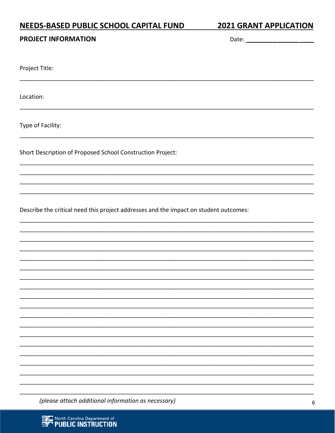# NEEDS-BASED PUBLIC SCHOOL CAPITAL FUND

**2021 GRANT APPLICATION** 

#### **PROJECT INFORMATION**

Date:

Project Title:

Location:

Type of Facility:

Short Description of Proposed School Construction Project:

Describe the critical need this project addresses and the impact on student outcomes:

(please attach additional information as necessary)

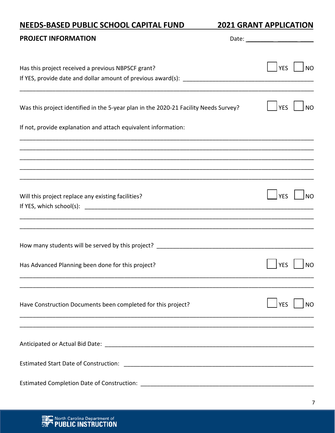# NEEDS-BASED PUBLIC SCHOOL CAPITAL FUND

**2021 GRANT APPLICATION** 

| <b>PROJECT INFORMATION</b>                                                           |                         |
|--------------------------------------------------------------------------------------|-------------------------|
| Has this project received a previous NBPSCF grant?                                   | <b>YES</b><br><b>NO</b> |
| Was this project identified in the 5-year plan in the 2020-21 Facility Needs Survey? | <b>YES</b><br><b>NO</b> |
| If not, provide explanation and attach equivalent information:                       |                         |
|                                                                                      |                         |
| Will this project replace any existing facilities?                                   | <b>YES</b><br><b>NO</b> |
|                                                                                      |                         |
| Has Advanced Planning been done for this project?                                    | NΟ                      |
| Have Construction Documents been completed for this project?                         | <b>YES</b><br><b>NO</b> |
|                                                                                      |                         |
|                                                                                      |                         |
|                                                                                      |                         |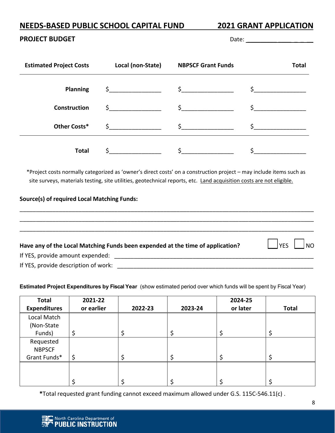#### **PROJECT BUDGET**  Date: \_\_\_\_\_\_\_\_\_ \_\_\_\_ \_ \_ \_\_

| <b>Estimated Project Costs</b> | Local (non-State) | <b>NBPSCF Grant Funds</b> | <b>Total</b>  |
|--------------------------------|-------------------|---------------------------|---------------|
| <b>Planning</b>                | $\frac{1}{2}$     | $\zeta$                   |               |
| <b>Construction</b>            | $\frac{1}{2}$     | $\sharp$ $\qquad$         | $\sim$ $\sim$ |
| Other Costs*                   |                   |                           |               |
| <b>Total</b>                   |                   |                           |               |

 \*Project costs normally categorized as 'owner's direct costs' on a construction project – may include items such as site surveys, materials testing, site utilities, geotechnical reports, etc. Land acquisition costs are not eligible.

#### **Source(s) of required Local Matching Funds:**

\_\_\_\_\_\_\_\_\_\_\_\_\_\_\_\_\_\_\_\_\_\_\_\_\_\_\_\_\_\_\_\_\_\_\_\_\_\_\_\_\_\_\_\_\_\_\_\_\_\_\_\_\_\_\_\_\_\_\_\_\_\_\_\_\_\_\_\_\_\_\_\_\_\_\_\_\_\_\_\_\_\_\_\_\_\_\_\_\_\_ \_\_\_\_\_\_\_\_\_\_\_\_\_\_\_\_\_\_\_\_\_\_\_\_\_\_\_\_\_\_\_\_\_\_\_\_\_\_\_\_\_\_\_\_\_\_\_\_\_\_\_\_\_\_\_\_\_\_\_\_\_\_\_\_\_\_\_\_\_\_\_\_\_\_\_\_\_\_\_\_\_\_\_\_\_\_\_\_\_\_ \_\_\_\_\_\_\_\_\_\_\_\_\_\_\_\_\_\_\_\_\_\_\_\_\_\_\_\_\_\_\_\_\_\_\_\_\_\_\_\_\_\_\_\_\_\_\_\_\_\_\_\_\_\_\_\_\_\_\_\_\_\_\_\_\_\_\_\_\_\_\_\_\_\_\_\_\_\_\_\_\_\_\_\_\_\_\_\_\_\_ Have any of the Local Matching Funds been expended at the time of application? **In the Local Matching Funds** been expended at the time of application? If YES, provide amount expended: \_\_\_\_\_\_\_\_\_\_\_\_\_\_\_\_\_\_\_\_\_\_\_\_\_\_\_\_\_\_\_\_\_\_\_\_\_\_\_\_\_\_\_\_\_\_\_\_\_\_\_\_\_\_\_\_\_\_\_\_\_ If YES, provide description of work: \_\_\_\_\_\_\_\_\_\_\_\_\_\_\_\_\_\_\_\_\_\_\_\_\_\_\_\_\_\_\_\_\_\_\_\_\_\_\_\_\_\_\_\_\_\_\_\_\_\_\_\_\_\_\_\_\_\_\_\_

#### **Estimated Project Expenditures by Fiscal Year** (show estimated period over which funds will be spent by Fiscal Year)

| <b>Total</b><br><b>Expenditures</b>        | 2021-22<br>or earlier | 2022-23 | 2023-24 | 2024-25<br>or later | <b>Total</b> |
|--------------------------------------------|-----------------------|---------|---------|---------------------|--------------|
| Local Match<br>(Non-State<br>Funds)        |                       |         | \$      |                     |              |
| Requested<br><b>NBPSCF</b><br>Grant Funds* | Ś                     | Ç       | \$      |                     |              |
|                                            |                       |         |         |                     |              |

**\***Total requested grant funding cannot exceed maximum allowed under G.S. 115C‐546.11(c) .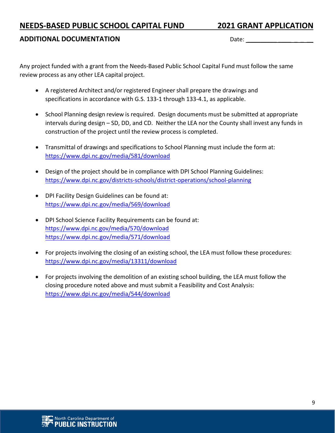#### **ADDITIONAL DOCUMENTATION** Date: \_\_\_\_\_\_\_\_\_ \_\_\_\_ \_ \_ \_\_

Any project funded with a grant from the Needs‐Based Public School Capital Fund must follow the same review process as any other LEA capital project.

- A registered Architect and/or registered Engineer shall prepare the drawings and specifications in accordance with G.S. 133‐1 through 133‐4.1, as applicable.
- School Planning design review is required. Design documents must be submitted at appropriate intervals during design – SD, DD, and CD. Neither the LEA nor the County shall invest any funds in construction of the project until the review process is completed.
- Transmittal of drawings and specifications to School Planning must include the form at: https://www.dpi.nc.gov/media/581/download
- Design of the project should be in compliance with DPI School Planning Guidelines: https://www.dpi.nc.gov/districts‐schools/district‐operations/school‐planning
- DPI Facility Design Guidelines can be found at: https://www.dpi.nc.gov/media/569/download
- DPI School Science Facility Requirements can be found at: https://www.dpi.nc.gov/media/570/download https://www.dpi.nc.gov/media/571/download
- For projects involving the closing of an existing school, the LEA must follow these procedures: https://www.dpi.nc.gov/media/13311/download
- For projects involving the demolition of an existing school building, the LEA must follow the closing procedure noted above and must submit a Feasibility and Cost Analysis: https://www.dpi.nc.gov/media/544/download